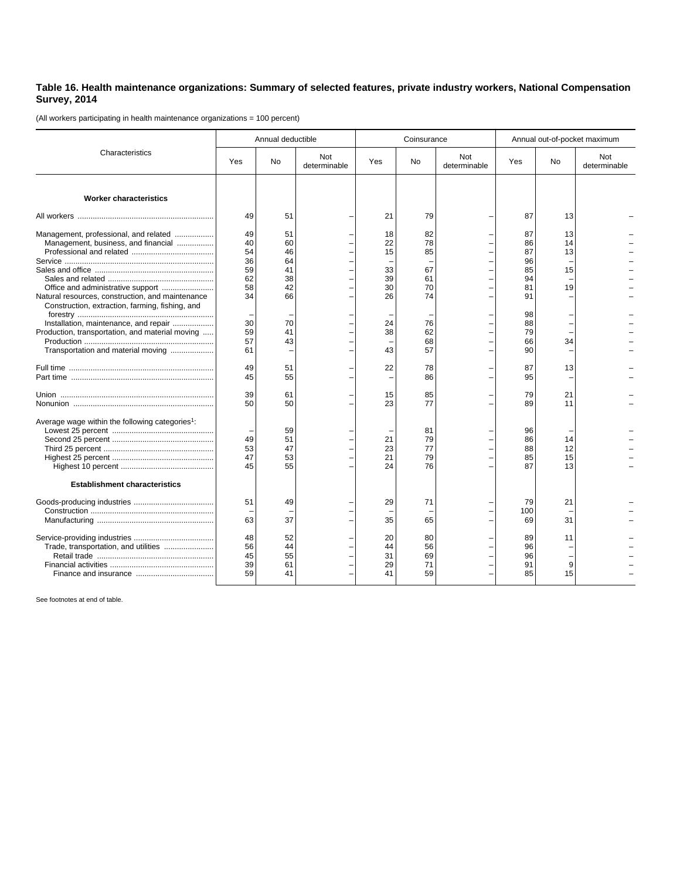## **Table 16. Health maintenance organizations: Summary of selected features, private industry workers, National Compensation Survey, 2014**

(All workers participating in health maintenance organizations = 100 percent)

| Characteristics                                                                                                                                                                   | Annual deductible                            |                                              |                     | Coinsurance                            |                                        |                     | Annual out-of-pocket maximum                 |                            |                     |
|-----------------------------------------------------------------------------------------------------------------------------------------------------------------------------------|----------------------------------------------|----------------------------------------------|---------------------|----------------------------------------|----------------------------------------|---------------------|----------------------------------------------|----------------------------|---------------------|
|                                                                                                                                                                                   | Yes                                          | <b>No</b>                                    | Not<br>determinable | Yes                                    | No                                     | Not<br>determinable | Yes                                          | No                         | Not<br>determinable |
| <b>Worker characteristics</b>                                                                                                                                                     |                                              |                                              |                     |                                        |                                        |                     |                                              |                            |                     |
|                                                                                                                                                                                   | 49                                           | 51                                           |                     | 21                                     | 79                                     |                     | 87                                           | 13                         |                     |
| Management, professional, and related<br>Management, business, and financial<br>Office and administrative support<br>Natural resources, construction, and maintenance             | 49<br>40<br>54<br>36<br>59<br>62<br>58<br>34 | 51<br>60<br>46<br>64<br>41<br>38<br>42<br>66 |                     | 18<br>22<br>15<br>33<br>39<br>30<br>26 | 82<br>78<br>85<br>67<br>61<br>70<br>74 |                     | 87<br>86<br>87<br>96<br>85<br>94<br>81<br>91 | 13<br>14<br>13<br>15<br>19 |                     |
| Construction, extraction, farming, fishing, and<br>Installation, maintenance, and repair<br>Production, transportation, and material moving<br>Transportation and material moving | 30<br>59<br>57<br>61                         | 70<br>41<br>43                               |                     | 24<br>38<br>43                         | 76<br>62<br>68<br>57                   |                     | 98<br>88<br>79<br>66<br>90                   | 34                         |                     |
|                                                                                                                                                                                   | 49<br>45                                     | 51<br>55                                     |                     | 22                                     | 78<br>86                               |                     | 87<br>95                                     | 13                         |                     |
|                                                                                                                                                                                   | 39<br>50                                     | 61<br>50                                     |                     | 15<br>23                               | 85<br>77                               |                     | 79<br>89                                     | 21<br>11                   |                     |
| Average wage within the following categories <sup>1</sup> :                                                                                                                       | 49<br>53<br>47<br>45                         | 59<br>51<br>47<br>53<br>55                   |                     | 21<br>23<br>21<br>24                   | 81<br>79<br>77<br>79<br>76             |                     | 96<br>86<br>88<br>85<br>87                   | 14<br>12<br>15<br>13       |                     |
| <b>Establishment characteristics</b>                                                                                                                                              |                                              |                                              |                     |                                        |                                        |                     |                                              |                            |                     |
|                                                                                                                                                                                   | 51<br>63                                     | 49<br>37                                     |                     | 29<br>35                               | 71<br>65                               |                     | 79<br>100<br>69                              | 21<br>31                   |                     |
|                                                                                                                                                                                   | 48<br>56<br>45<br>39<br>59                   | 52<br>44<br>55<br>61<br>41                   |                     | 20<br>44<br>31<br>29<br>41             | 80<br>56<br>69<br>71<br>59             |                     | 89<br>96<br>96<br>91<br>85                   | 11<br>9<br>15              |                     |

See footnotes at end of table.